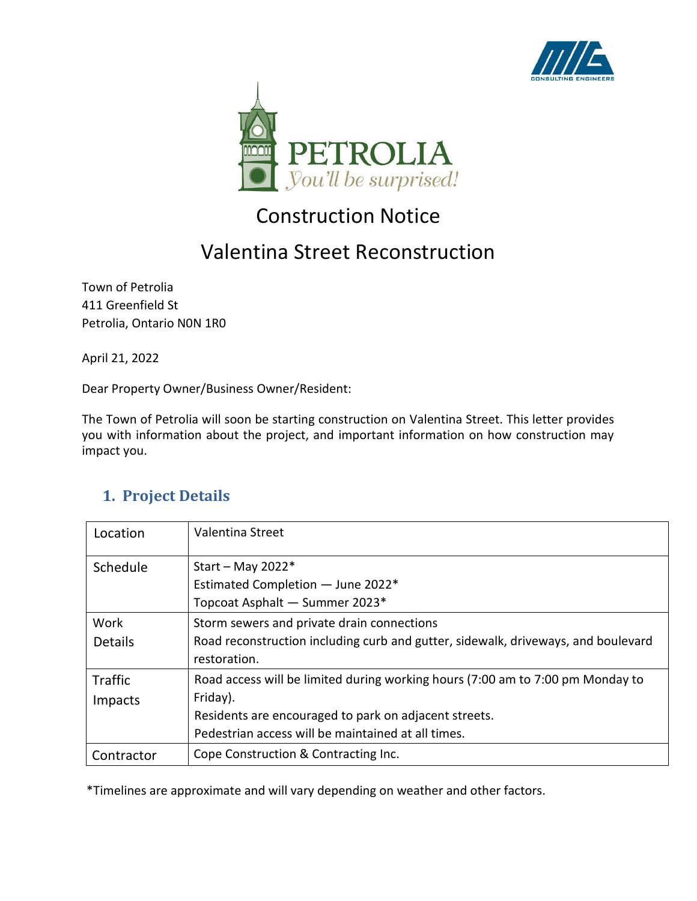



# Construction Notice

## Valentina Street Reconstruction

Town of Petrolia 411 Greenfield St Petrolia, Ontario N0N 1R0

April 21, 2022

Dear Property Owner/Business Owner/Resident:

The Town of Petrolia will soon be starting construction on Valentina Street. This letter provides you with information about the project, and important information on how construction may impact you.

#### **1. Project Details**

| Location                  | Valentina Street                                                                                                                                                                                          |
|---------------------------|-----------------------------------------------------------------------------------------------------------------------------------------------------------------------------------------------------------|
| Schedule                  | Start - May 2022*<br>Estimated Completion - June 2022*<br>Topcoat Asphalt - Summer 2023*                                                                                                                  |
| Work<br><b>Details</b>    | Storm sewers and private drain connections<br>Road reconstruction including curb and gutter, sidewalk, driveways, and boulevard<br>restoration.                                                           |
| <b>Traffic</b><br>Impacts | Road access will be limited during working hours (7:00 am to 7:00 pm Monday to<br>Friday).<br>Residents are encouraged to park on adjacent streets.<br>Pedestrian access will be maintained at all times. |
| Contractor                | Cope Construction & Contracting Inc.                                                                                                                                                                      |

\*Timelines are approximate and will vary depending on weather and other factors.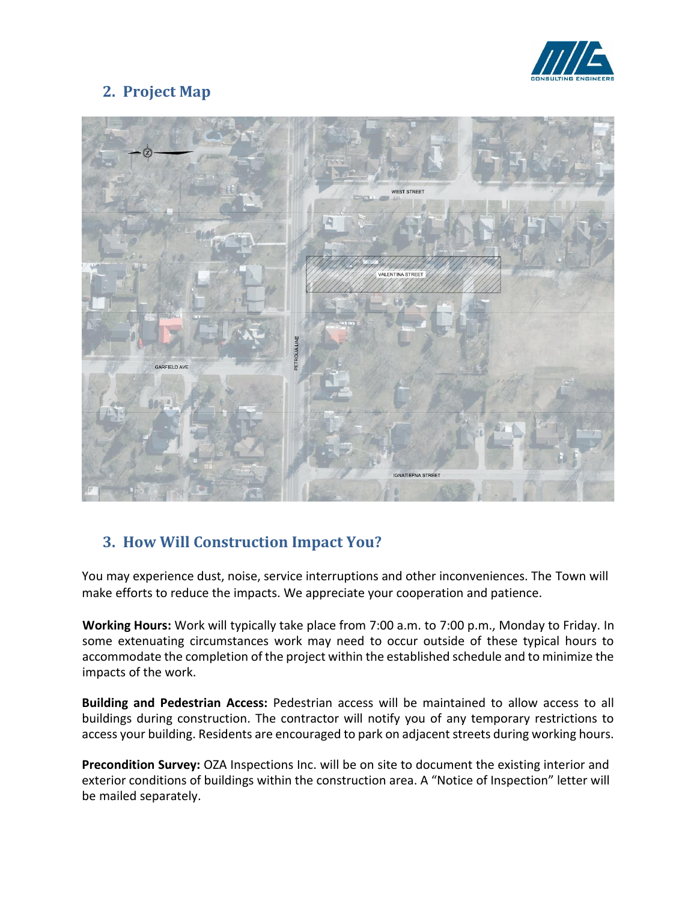

### **2. Project Map**



### **3. How Will Construction Impact You?**

You may experience dust, noise, service interruptions and other inconveniences. The Town will make efforts to reduce the impacts. We appreciate your cooperation and patience.

**Working Hours:** Work will typically take place from 7:00 a.m. to 7:00 p.m., Monday to Friday. In some extenuating circumstances work may need to occur outside of these typical hours to accommodate the completion of the project within the established schedule and to minimize the impacts of the work.

**Building and Pedestrian Access:** Pedestrian access will be maintained to allow access to all buildings during construction. The contractor will notify you of any temporary restrictions to access your building. Residents are encouraged to park on adjacent streets during working hours.

Precondition Survey: OZA Inspections Inc. will be on site to document the existing interior and exterior conditions of buildings within the construction area. A "Notice of Inspection" letter will be mailed separately.